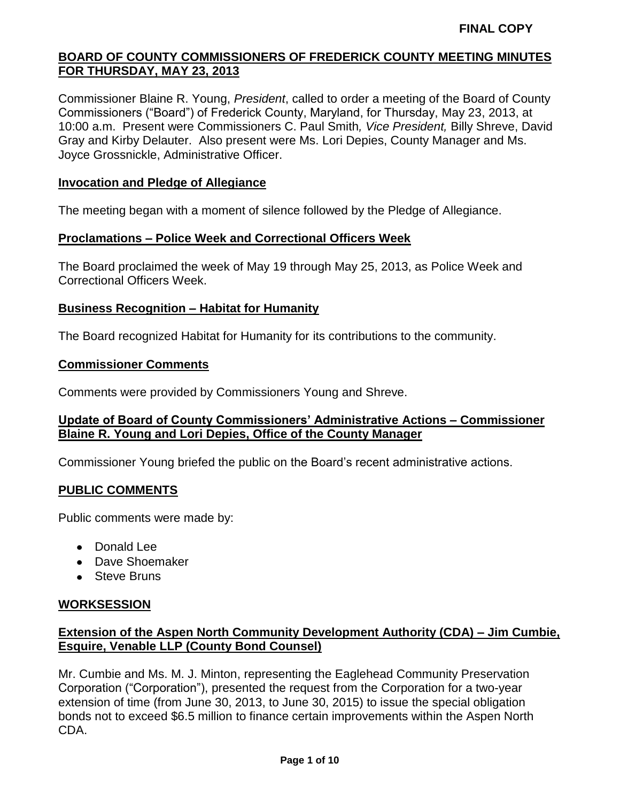Commissioner Blaine R. Young, *President*, called to order a meeting of the Board of County Commissioners ("Board") of Frederick County, Maryland, for Thursday, May 23, 2013, at 10:00 a.m. Present were Commissioners C. Paul Smith*, Vice President,* Billy Shreve, David Gray and Kirby Delauter. Also present were Ms. Lori Depies, County Manager and Ms. Joyce Grossnickle, Administrative Officer.

### **Invocation and Pledge of Allegiance**

The meeting began with a moment of silence followed by the Pledge of Allegiance.

#### **Proclamations – Police Week and Correctional Officers Week**

The Board proclaimed the week of May 19 through May 25, 2013, as Police Week and Correctional Officers Week.

### **Business Recognition – Habitat for Humanity**

The Board recognized Habitat for Humanity for its contributions to the community.

#### **Commissioner Comments**

Comments were provided by Commissioners Young and Shreve.

### **Update of Board of County Commissioners' Administrative Actions – Commissioner Blaine R. Young and Lori Depies, Office of the County Manager**

Commissioner Young briefed the public on the Board's recent administrative actions.

#### **PUBLIC COMMENTS**

Public comments were made by:

- Donald Lee
- Dave Shoemaker
- Steve Bruns

#### **WORKSESSION**

# **Extension of the Aspen North Community Development Authority (CDA) – Jim Cumbie, Esquire, Venable LLP (County Bond Counsel)**

Mr. Cumbie and Ms. M. J. Minton, representing the Eaglehead Community Preservation Corporation ("Corporation"), presented the request from the Corporation for a two-year extension of time (from June 30, 2013, to June 30, 2015) to issue the special obligation bonds not to exceed \$6.5 million to finance certain improvements within the Aspen North CDA.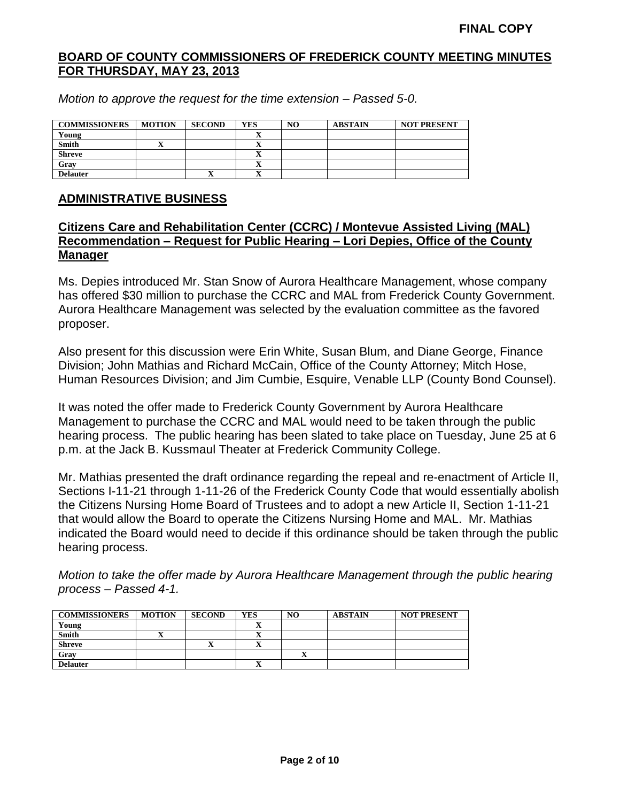*Motion to approve the request for the time extension – Passed 5-0.*

| <b>COMMISSIONERS</b> | <b>MOTION</b> | <b>SECOND</b> | <b>YES</b> | NO | <b>ABSTAIN</b> | <b>NOT PRESENT</b> |
|----------------------|---------------|---------------|------------|----|----------------|--------------------|
| Young                |               |               |            |    |                |                    |
| <b>Smith</b>         |               |               | ∸          |    |                |                    |
| <b>Shreve</b>        |               |               |            |    |                |                    |
| Gray                 |               |               | -43        |    |                |                    |
| <b>Delauter</b>      |               | ◢             | $\lambda$  |    |                |                    |

### **ADMINISTRATIVE BUSINESS**

# **Citizens Care and Rehabilitation Center (CCRC) / Montevue Assisted Living (MAL) Recommendation – Request for Public Hearing – Lori Depies, Office of the County Manager**

Ms. Depies introduced Mr. Stan Snow of Aurora Healthcare Management, whose company has offered \$30 million to purchase the CCRC and MAL from Frederick County Government. Aurora Healthcare Management was selected by the evaluation committee as the favored proposer.

Also present for this discussion were Erin White, Susan Blum, and Diane George, Finance Division; John Mathias and Richard McCain, Office of the County Attorney; Mitch Hose, Human Resources Division; and Jim Cumbie, Esquire, Venable LLP (County Bond Counsel).

It was noted the offer made to Frederick County Government by Aurora Healthcare Management to purchase the CCRC and MAL would need to be taken through the public hearing process. The public hearing has been slated to take place on Tuesday, June 25 at 6 p.m. at the Jack B. Kussmaul Theater at Frederick Community College.

Mr. Mathias presented the draft ordinance regarding the repeal and re-enactment of Article II, Sections I-11-21 through 1-11-26 of the Frederick County Code that would essentially abolish the Citizens Nursing Home Board of Trustees and to adopt a new Article II, Section 1-11-21 that would allow the Board to operate the Citizens Nursing Home and MAL. Mr. Mathias indicated the Board would need to decide if this ordinance should be taken through the public hearing process.

*Motion to take the offer made by Aurora Healthcare Management through the public hearing process – Passed 4-1.*

| <b>COMMISSIONERS</b> | <b>MOTION</b> | <b>SECOND</b> | <b>YES</b> | N <sub>O</sub> | <b>ABSTAIN</b> | <b>NOT PRESENT</b> |
|----------------------|---------------|---------------|------------|----------------|----------------|--------------------|
| Young                |               |               |            |                |                |                    |
| Smith                | -43           |               |            |                |                |                    |
| Shreve               |               | л             |            |                |                |                    |
| Gray                 |               |               |            |                |                |                    |
| <b>Delauter</b>      |               |               | ∡ъ         |                |                |                    |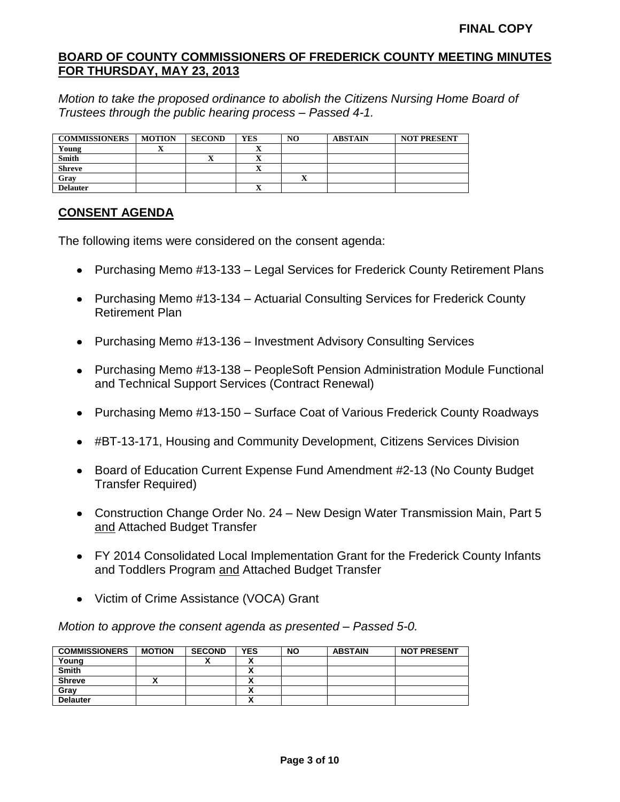*Motion to take the proposed ordinance to abolish the Citizens Nursing Home Board of Trustees through the public hearing process – Passed 4-1.*

| <b>COMMISSIONERS</b> | <b>MOTION</b> | <b>SECOND</b> | <b>YES</b>               | NO | <b>ABSTAIN</b> | <b>NOT PRESENT</b> |
|----------------------|---------------|---------------|--------------------------|----|----------------|--------------------|
| Young                | ◢             |               | $\overline{\phantom{a}}$ |    |                |                    |
| <b>Smith</b>         |               |               |                          |    |                |                    |
| <b>Shreve</b>        |               |               |                          |    |                |                    |
| Gray                 |               |               |                          | ◠  |                |                    |
| <b>Delauter</b>      |               |               |                          |    |                |                    |

# **CONSENT AGENDA**

The following items were considered on the consent agenda:

- Purchasing Memo #13-133 Legal Services for Frederick County Retirement Plans
- Purchasing Memo #13-134 Actuarial Consulting Services for Frederick County Retirement Plan
- Purchasing Memo #13-136 Investment Advisory Consulting Services
- Purchasing Memo #13-138 PeopleSoft Pension Administration Module Functional and Technical Support Services (Contract Renewal)
- Purchasing Memo #13-150 Surface Coat of Various Frederick County Roadways
- #BT-13-171, Housing and Community Development, Citizens Services Division
- Board of Education Current Expense Fund Amendment #2-13 (No County Budget Transfer Required)
- Construction Change Order No. 24 New Design Water Transmission Main, Part 5 and Attached Budget Transfer
- FY 2014 Consolidated Local Implementation Grant for the Frederick County Infants and Toddlers Program and Attached Budget Transfer
- Victim of Crime Assistance (VOCA) Grant

*Motion to approve the consent agenda as presented – Passed 5-0.*

| <b>COMMISSIONERS</b> | <b>MOTION</b> | <b>SECOND</b> | <b>YES</b> | <b>NO</b> | <b>ABSTAIN</b> | <b>NOT PRESENT</b> |
|----------------------|---------------|---------------|------------|-----------|----------------|--------------------|
| Young                |               |               |            |           |                |                    |
| <b>Smith</b>         |               |               |            |           |                |                    |
| <b>Shreve</b>        |               |               |            |           |                |                    |
| Grav                 |               |               |            |           |                |                    |
| <b>Delauter</b>      |               |               |            |           |                |                    |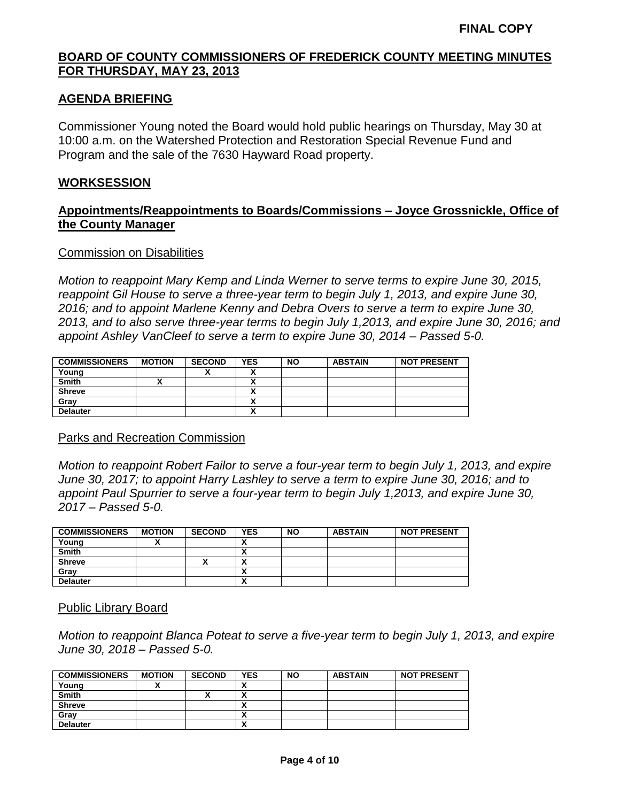# **AGENDA BRIEFING**

Commissioner Young noted the Board would hold public hearings on Thursday, May 30 at 10:00 a.m. on the Watershed Protection and Restoration Special Revenue Fund and Program and the sale of the 7630 Hayward Road property.

#### **WORKSESSION**

### **Appointments/Reappointments to Boards/Commissions – Joyce Grossnickle, Office of the County Manager**

#### Commission on Disabilities

*Motion to reappoint Mary Kemp and Linda Werner to serve terms to expire June 30, 2015, reappoint Gil House to serve a three-year term to begin July 1, 2013, and expire June 30, 2016; and to appoint Marlene Kenny and Debra Overs to serve a term to expire June 30, 2013, and to also serve three-year terms to begin July 1,2013, and expire June 30, 2016; and appoint Ashley VanCleef to serve a term to expire June 30, 2014 – Passed 5-0.*

| <b>COMMISSIONERS</b> | <b>MOTION</b> | <b>SECOND</b> | <b>YES</b> | <b>NO</b> | <b>ABSTAIN</b> | <b>NOT PRESENT</b> |
|----------------------|---------------|---------------|------------|-----------|----------------|--------------------|
| Young                |               |               |            |           |                |                    |
| <b>Smith</b>         |               |               | ~          |           |                |                    |
| <b>Shreve</b>        |               |               | ^          |           |                |                    |
| Gray                 |               |               |            |           |                |                    |
| <b>Delauter</b>      |               |               |            |           |                |                    |

#### Parks and Recreation Commission

*Motion to reappoint Robert Failor to serve a four-year term to begin July 1, 2013, and expire June 30, 2017; to appoint Harry Lashley to serve a term to expire June 30, 2016; and to appoint Paul Spurrier to serve a four-year term to begin July 1,2013, and expire June 30, 2017 – Passed 5-0.*

| <b>COMMISSIONERS</b> | <b>MOTION</b> | <b>SECOND</b> | <b>YES</b>             | <b>NO</b> | <b>ABSTAIN</b> | <b>NOT PRESENT</b> |
|----------------------|---------------|---------------|------------------------|-----------|----------------|--------------------|
| Young                |               |               |                        |           |                |                    |
| <b>Smith</b>         |               |               |                        |           |                |                    |
| <b>Shreve</b>        |               |               |                        |           |                |                    |
| Grav                 |               |               |                        |           |                |                    |
| <b>Delauter</b>      |               |               | $\mathbf{\mathcal{L}}$ |           |                |                    |

#### Public Library Board

*Motion to reappoint Blanca Poteat to serve a five-year term to begin July 1, 2013, and expire June 30, 2018 – Passed 5-0.*

| <b>COMMISSIONERS</b> | <b>MOTION</b> | <b>SECOND</b> | <b>YES</b>               | <b>NO</b> | <b>ABSTAIN</b> | <b>NOT PRESENT</b> |
|----------------------|---------------|---------------|--------------------------|-----------|----------------|--------------------|
| Young                |               |               | ^                        |           |                |                    |
| <b>Smith</b>         |               |               | $\mathbf{v}$             |           |                |                    |
| <b>Shreve</b>        |               |               |                          |           |                |                    |
| Gray                 |               |               | $\overline{\phantom{a}}$ |           |                |                    |
| <b>Delauter</b>      |               |               | $\mathbf{r}$             |           |                |                    |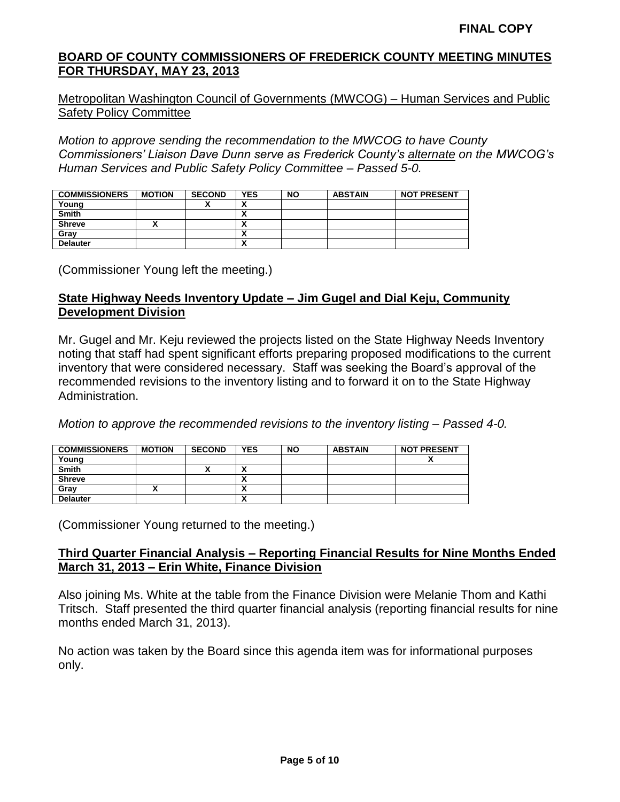Metropolitan Washington Council of Governments (MWCOG) – Human Services and Public Safety Policy Committee

*Motion to approve sending the recommendation to the MWCOG to have County Commissioners' Liaison Dave Dunn serve as Frederick County's alternate on the MWCOG's Human Services and Public Safety Policy Committee – Passed 5-0.*

| <b>COMMISSIONERS</b> | <b>MOTION</b> | <b>SECOND</b> | <b>YES</b>               | <b>NO</b> | <b>ABSTAIN</b> | <b>NOT PRESENT</b> |
|----------------------|---------------|---------------|--------------------------|-----------|----------------|--------------------|
| Young                |               |               | ^                        |           |                |                    |
| <b>Smith</b>         |               |               | ~                        |           |                |                    |
| <b>Shreve</b>        | ~             |               | Λ                        |           |                |                    |
| Gray                 |               |               | Λ                        |           |                |                    |
| <b>Delauter</b>      |               |               | $\overline{\phantom{a}}$ |           |                |                    |

(Commissioner Young left the meeting.)

# **State Highway Needs Inventory Update – Jim Gugel and Dial Keju, Community Development Division**

Mr. Gugel and Mr. Keju reviewed the projects listed on the State Highway Needs Inventory noting that staff had spent significant efforts preparing proposed modifications to the current inventory that were considered necessary. Staff was seeking the Board's approval of the recommended revisions to the inventory listing and to forward it on to the State Highway Administration.

*Motion to approve the recommended revisions to the inventory listing – Passed 4-0.*

| <b>COMMISSIONERS</b> | <b>MOTION</b> | <b>SECOND</b> | <b>YES</b>               | <b>NO</b> | <b>ABSTAIN</b> | <b>NOT PRESENT</b> |
|----------------------|---------------|---------------|--------------------------|-----------|----------------|--------------------|
| Young                |               |               |                          |           |                |                    |
| <b>Smith</b>         |               |               | $\overline{\phantom{a}}$ |           |                |                    |
| <b>Shreve</b>        |               |               |                          |           |                |                    |
| Grav                 |               |               |                          |           |                |                    |
| <b>Delauter</b>      |               |               | $\mathbf{v}$             |           |                |                    |

(Commissioner Young returned to the meeting.)

### **Third Quarter Financial Analysis – Reporting Financial Results for Nine Months Ended March 31, 2013 – Erin White, Finance Division**

Also joining Ms. White at the table from the Finance Division were Melanie Thom and Kathi Tritsch. Staff presented the third quarter financial analysis (reporting financial results for nine months ended March 31, 2013).

No action was taken by the Board since this agenda item was for informational purposes only.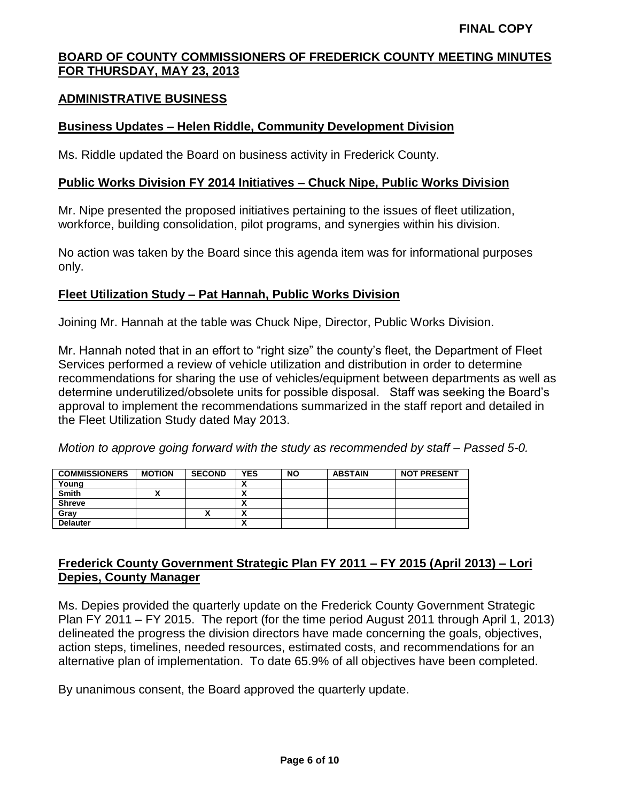#### **ADMINISTRATIVE BUSINESS**

#### **Business Updates – Helen Riddle, Community Development Division**

Ms. Riddle updated the Board on business activity in Frederick County.

#### **Public Works Division FY 2014 Initiatives – Chuck Nipe, Public Works Division**

Mr. Nipe presented the proposed initiatives pertaining to the issues of fleet utilization, workforce, building consolidation, pilot programs, and synergies within his division.

No action was taken by the Board since this agenda item was for informational purposes only.

#### **Fleet Utilization Study – Pat Hannah, Public Works Division**

Joining Mr. Hannah at the table was Chuck Nipe, Director, Public Works Division.

Mr. Hannah noted that in an effort to "right size" the county's fleet, the Department of Fleet Services performed a review of vehicle utilization and distribution in order to determine recommendations for sharing the use of vehicles/equipment between departments as well as determine underutilized/obsolete units for possible disposal. Staff was seeking the Board's approval to implement the recommendations summarized in the staff report and detailed in the Fleet Utilization Study dated May 2013.

*Motion to approve going forward with the study as recommended by staff – Passed 5-0.*

| <b>COMMISSIONERS</b> | <b>MOTION</b> | <b>SECOND</b> | <b>YES</b> | <b>NO</b> | <b>ABSTAIN</b> | <b>NOT PRESENT</b> |
|----------------------|---------------|---------------|------------|-----------|----------------|--------------------|
| Young                |               |               |            |           |                |                    |
| <b>Smith</b>         |               |               |            |           |                |                    |
| <b>Shreve</b>        |               |               |            |           |                |                    |
| Grav                 |               |               |            |           |                |                    |
| <b>Delauter</b>      |               |               |            |           |                |                    |

# **Frederick County Government Strategic Plan FY 2011 – FY 2015 (April 2013) – Lori Depies, County Manager**

Ms. Depies provided the quarterly update on the Frederick County Government Strategic Plan FY 2011 – FY 2015. The report (for the time period August 2011 through April 1, 2013) delineated the progress the division directors have made concerning the goals, objectives, action steps, timelines, needed resources, estimated costs, and recommendations for an alternative plan of implementation. To date 65.9% of all objectives have been completed.

By unanimous consent, the Board approved the quarterly update.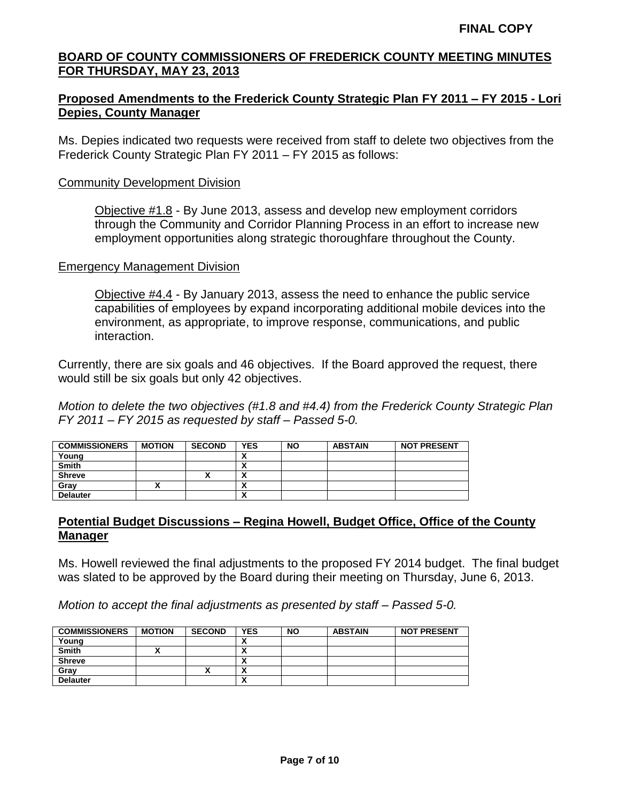# **Proposed Amendments to the Frederick County Strategic Plan FY 2011 – FY 2015 - Lori Depies, County Manager**

Ms. Depies indicated two requests were received from staff to delete two objectives from the Frederick County Strategic Plan FY 2011 – FY 2015 as follows:

#### Community Development Division

Objective #1.8 - By June 2013, assess and develop new employment corridors through the Community and Corridor Planning Process in an effort to increase new employment opportunities along strategic thoroughfare throughout the County.

#### Emergency Management Division

Objective #4.4 - By January 2013, assess the need to enhance the public service capabilities of employees by expand incorporating additional mobile devices into the environment, as appropriate, to improve response, communications, and public interaction.

Currently, there are six goals and 46 objectives. If the Board approved the request, there would still be six goals but only 42 objectives.

*Motion to delete the two objectives (#1.8 and #4.4) from the Frederick County Strategic Plan FY 2011 – FY 2015 as requested by staff – Passed 5-0.*

| <b>COMMISSIONERS</b> | <b>MOTION</b> | <b>SECOND</b> | <b>YES</b>               | <b>NO</b> | <b>ABSTAIN</b> | <b>NOT PRESENT</b> |
|----------------------|---------------|---------------|--------------------------|-----------|----------------|--------------------|
| Young                |               |               | . .                      |           |                |                    |
| <b>Smith</b>         |               |               |                          |           |                |                    |
| <b>Shreve</b>        |               |               | $\overline{\phantom{a}}$ |           |                |                    |
| Grav                 |               |               |                          |           |                |                    |
| <b>Delauter</b>      |               |               | $\overline{\phantom{a}}$ |           |                |                    |

# **Potential Budget Discussions – Regina Howell, Budget Office, Office of the County Manager**

Ms. Howell reviewed the final adjustments to the proposed FY 2014 budget. The final budget was slated to be approved by the Board during their meeting on Thursday, June 6, 2013.

*Motion to accept the final adjustments as presented by staff – Passed 5-0.*

| <b>COMMISSIONERS</b> | <b>MOTION</b> | <b>SECOND</b> | <b>YES</b>             | <b>NO</b> | <b>ABSTAIN</b> | <b>NOT PRESENT</b> |
|----------------------|---------------|---------------|------------------------|-----------|----------------|--------------------|
| Young                |               |               | ^                      |           |                |                    |
| <b>Smith</b>         |               |               | $\mathbf{\mathcal{L}}$ |           |                |                    |
| <b>Shreve</b>        |               |               | $\mathbf{r}$           |           |                |                    |
| Gray                 |               | ~             | $\mathbf{\mathcal{L}}$ |           |                |                    |
| <b>Delauter</b>      |               |               | $\mathbf{\mathcal{L}}$ |           |                |                    |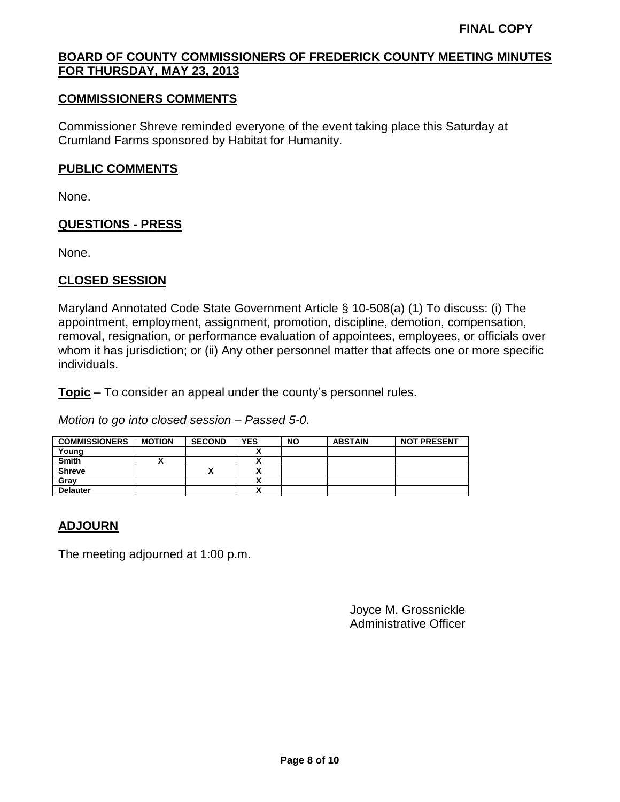### **COMMISSIONERS COMMENTS**

Commissioner Shreve reminded everyone of the event taking place this Saturday at Crumland Farms sponsored by Habitat for Humanity.

#### **PUBLIC COMMENTS**

None.

# **QUESTIONS - PRESS**

None.

### **CLOSED SESSION**

Maryland Annotated Code State Government Article § 10-508(a) (1) To discuss: (i) The appointment, employment, assignment, promotion, discipline, demotion, compensation, removal, resignation, or performance evaluation of appointees, employees, or officials over whom it has jurisdiction; or (ii) Any other personnel matter that affects one or more specific individuals.

**Topic** – To consider an appeal under the county's personnel rules.

*Motion to go into closed session – Passed 5-0.*

| <b>COMMISSIONERS</b> | <b>MOTION</b> | <b>SECOND</b> | <b>YES</b> | <b>NO</b> | <b>ABSTAIN</b> | <b>NOT PRESENT</b> |
|----------------------|---------------|---------------|------------|-----------|----------------|--------------------|
| Young                |               |               |            |           |                |                    |
| <b>Smith</b>         |               |               |            |           |                |                    |
| <b>Shreve</b>        |               | ́             |            |           |                |                    |
| Grav                 |               |               | Δ          |           |                |                    |
| <b>Delauter</b>      |               |               | ↗          |           |                |                    |

# **ADJOURN**

The meeting adjourned at 1:00 p.m.

Joyce M. Grossnickle Administrative Officer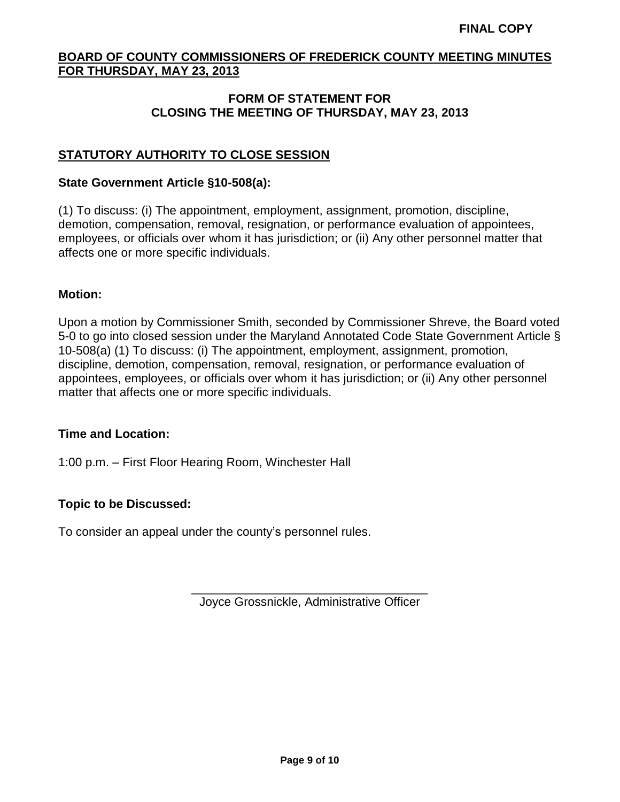## **FORM OF STATEMENT FOR CLOSING THE MEETING OF THURSDAY, MAY 23, 2013**

# **STATUTORY AUTHORITY TO CLOSE SESSION**

#### **State Government Article §10-508(a):**

(1) To discuss: (i) The appointment, employment, assignment, promotion, discipline, demotion, compensation, removal, resignation, or performance evaluation of appointees, employees, or officials over whom it has jurisdiction; or (ii) Any other personnel matter that affects one or more specific individuals.

#### **Motion:**

Upon a motion by Commissioner Smith, seconded by Commissioner Shreve, the Board voted 5-0 to go into closed session under the Maryland Annotated Code State Government Article § 10-508(a) (1) To discuss: (i) The appointment, employment, assignment, promotion, discipline, demotion, compensation, removal, resignation, or performance evaluation of appointees, employees, or officials over whom it has jurisdiction; or (ii) Any other personnel matter that affects one or more specific individuals.

#### **Time and Location:**

1:00 p.m. – First Floor Hearing Room, Winchester Hall

# **Topic to be Discussed:**

To consider an appeal under the county's personnel rules.

\_\_\_\_\_\_\_\_\_\_\_\_\_\_\_\_\_\_\_\_\_\_\_\_\_\_\_\_\_\_\_\_\_\_\_ Joyce Grossnickle, Administrative Officer